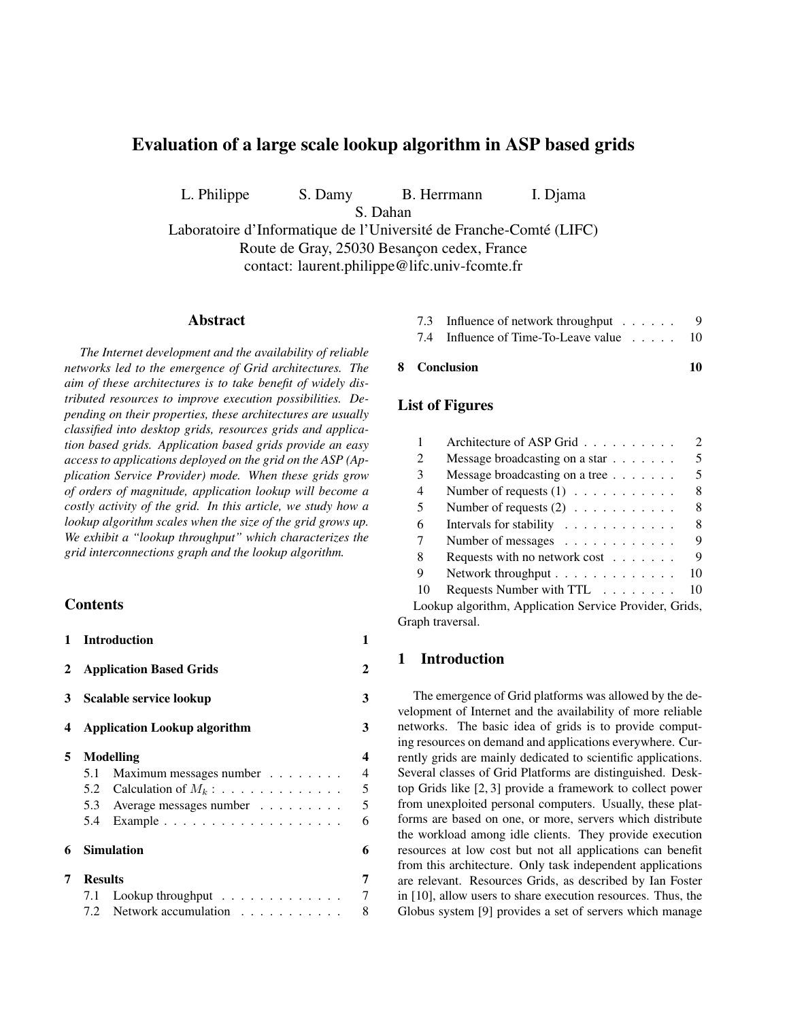# Evaluation of a large scale lookup algorithm in ASP based grids

L. Philippe S. Damy B. Herrmann I. Djama

S. Dahan

Laboratoire d'Informatique de l'Université de Franche-Comté (LIFC) Route de Gray, 25030 Besançon cedex, France contact: laurent.philippe@lifc.univ-fcomte.fr

# Abstract

*The Internet development and the availability of reliable networks led to the emergence of Grid architectures. The aim of these architectures is to take benefit of widely distributed resources to improve execution possibilities. Depending on their properties, these architectures are usually classified into desktop grids, resources grids and application based grids. Application based grids provide an easy access to applications deployed on the grid on the ASP (Application Service Provider) mode. When these grids grow of orders of magnitude, application lookup will become a costly activity of the grid. In this article, we study how a lookup algorithm scales when the size of the grid grows up. We exhibit a "lookup throughput" which characterizes the grid interconnections graph and the lookup algorithm.*

# **Contents**

| $\mathbf{1}$ | <b>Introduction</b>                                            |                             |   |  |  |  |
|--------------|----------------------------------------------------------------|-----------------------------|---|--|--|--|
| 2            | <b>Application Based Grids</b>                                 |                             |   |  |  |  |
| 3            | Scalable service lookup<br><b>Application Lookup algorithm</b> |                             |   |  |  |  |
| 4            |                                                                |                             |   |  |  |  |
| 5.           | Modelling                                                      |                             |   |  |  |  |
|              | 5.1                                                            | Maximum messages number     | 4 |  |  |  |
|              |                                                                | 5.2 Calculation of $M_k$ :  | 5 |  |  |  |
|              |                                                                | 5.3 Average messages number | 5 |  |  |  |
|              | 5.4                                                            |                             | 6 |  |  |  |
| 6            |                                                                | Simulation                  | 6 |  |  |  |
| 7            | <b>Results</b>                                                 |                             |   |  |  |  |
|              | 7.1                                                            | Lookup throughput           |   |  |  |  |
|              |                                                                | 7.2 Network accumulation    | 8 |  |  |  |

| 7.3 Influence of network throughput  | -9  |
|--------------------------------------|-----|
| 7.4 Influence of Time-To-Leave value | -10 |

8 Conclusion 10

|  |  |  | <b>List of Figures</b> |  |  |
|--|--|--|------------------------|--|--|
|--|--|--|------------------------|--|--|

|                | Architecture of ASP Grid                            | $\overline{c}$ |
|----------------|-----------------------------------------------------|----------------|
| 2              | Message broadcasting on a star                      | 5              |
| 3              | Message broadcasting on a tree                      | 5              |
| $\overline{4}$ | Number of requests $(1) \ldots \ldots \ldots$       | 8              |
| 5              | Number of requests $(2) \ldots \ldots \ldots$       | 8              |
| 6              | Intervals for stability $\dots \dots \dots \dots$   | 8              |
| 7              | Number of messages                                  | 9              |
| 8              | Requests with no network cost                       | 9              |
| 9              | Network throughput                                  | 10             |
| 10             | Requests Number with TTL                            | 10             |
|                | Lookun algorithm Annlication Service Provider Grids |                |

Lookup algorithm, Application Service Provider, Grids, Graph traversal.

# 1 Introduction

The emergence of Grid platforms was allowed by the development of Internet and the availability of more reliable networks. The basic idea of grids is to provide computing resources on demand and applications everywhere. Currently grids are mainly dedicated to scientific applications. Several classes of Grid Platforms are distinguished. Desktop Grids like [2, 3] provide a framework to collect power from unexploited personal computers. Usually, these platforms are based on one, or more, servers which distribute the workload among idle clients. They provide execution resources at low cost but not all applications can benefit from this architecture. Only task independent applications are relevant. Resources Grids, as described by Ian Foster in [10], allow users to share execution resources. Thus, the Globus system [9] provides a set of servers which manage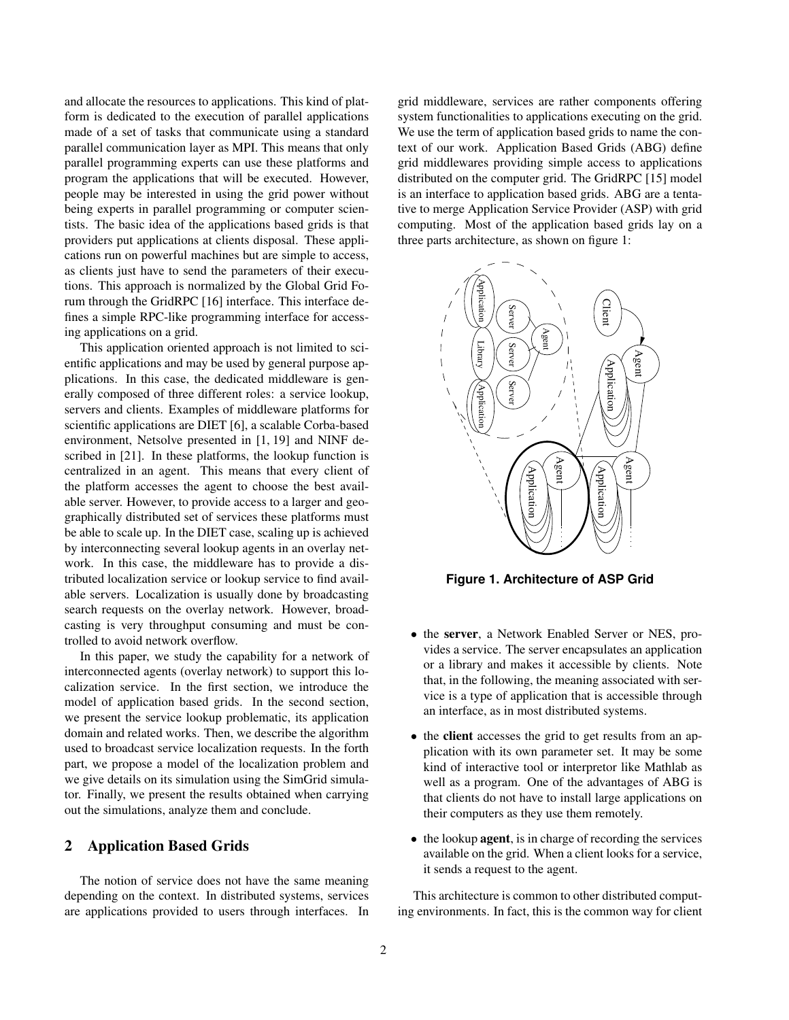and allocate the resources to applications. This kind of platform is dedicated to the execution of parallel applications made of a set of tasks that communicate using a standard parallel communication layer as MPI. This means that only parallel programming experts can use these platforms and program the applications that will be executed. However, people may be interested in using the grid power without being experts in parallel programming or computer scientists. The basic idea of the applications based grids is that providers put applications at clients disposal. These applications run on powerful machines but are simple to access, as clients just have to send the parameters of their executions. This approach is normalized by the Global Grid Forum through the GridRPC [16] interface. This interface defines a simple RPC-like programming interface for accessing applications on a grid.

This application oriented approach is not limited to scientific applications and may be used by general purpose applications. In this case, the dedicated middleware is generally composed of three different roles: a service lookup, servers and clients. Examples of middleware platforms for scientific applications are DIET [6], a scalable Corba-based environment, Netsolve presented in [1, 19] and NINF described in [21]. In these platforms, the lookup function is centralized in an agent. This means that every client of the platform accesses the agent to choose the best available server. However, to provide access to a larger and geographically distributed set of services these platforms must be able to scale up. In the DIET case, scaling up is achieved by interconnecting several lookup agents in an overlay network. In this case, the middleware has to provide a distributed localization service or lookup service to find available servers. Localization is usually done by broadcasting search requests on the overlay network. However, broadcasting is very throughput consuming and must be controlled to avoid network overflow.

In this paper, we study the capability for a network of interconnected agents (overlay network) to support this localization service. In the first section, we introduce the model of application based grids. In the second section, we present the service lookup problematic, its application domain and related works. Then, we describe the algorithm used to broadcast service localization requests. In the forth part, we propose a model of the localization problem and we give details on its simulation using the SimGrid simulator. Finally, we present the results obtained when carrying out the simulations, analyze them and conclude.

# 2 Application Based Grids

The notion of service does not have the same meaning depending on the context. In distributed systems, services are applications provided to users through interfaces. In grid middleware, services are rather components offering system functionalities to applications executing on the grid. We use the term of application based grids to name the context of our work. Application Based Grids (ABG) define grid middlewares providing simple access to applications distributed on the computer grid. The GridRPC [15] model is an interface to application based grids. ABG are a tentative to merge Application Service Provider (ASP) with grid computing. Most of the application based grids lay on a three parts architecture, as shown on figure 1:



**Figure 1. Architecture of ASP Grid**

- the server, a Network Enabled Server or NES, provides a service. The server encapsulates an application or a library and makes it accessible by clients. Note that, in the following, the meaning associated with service is a type of application that is accessible through an interface, as in most distributed systems.
- the client accesses the grid to get results from an application with its own parameter set. It may be some kind of interactive tool or interpretor like Mathlab as well as a program. One of the advantages of ABG is that clients do not have to install large applications on their computers as they use them remotely.
- the lookup **agent**, is in charge of recording the services available on the grid. When a client looks for a service, it sends a request to the agent.

This architecture is common to other distributed computing environments. In fact, this is the common way for client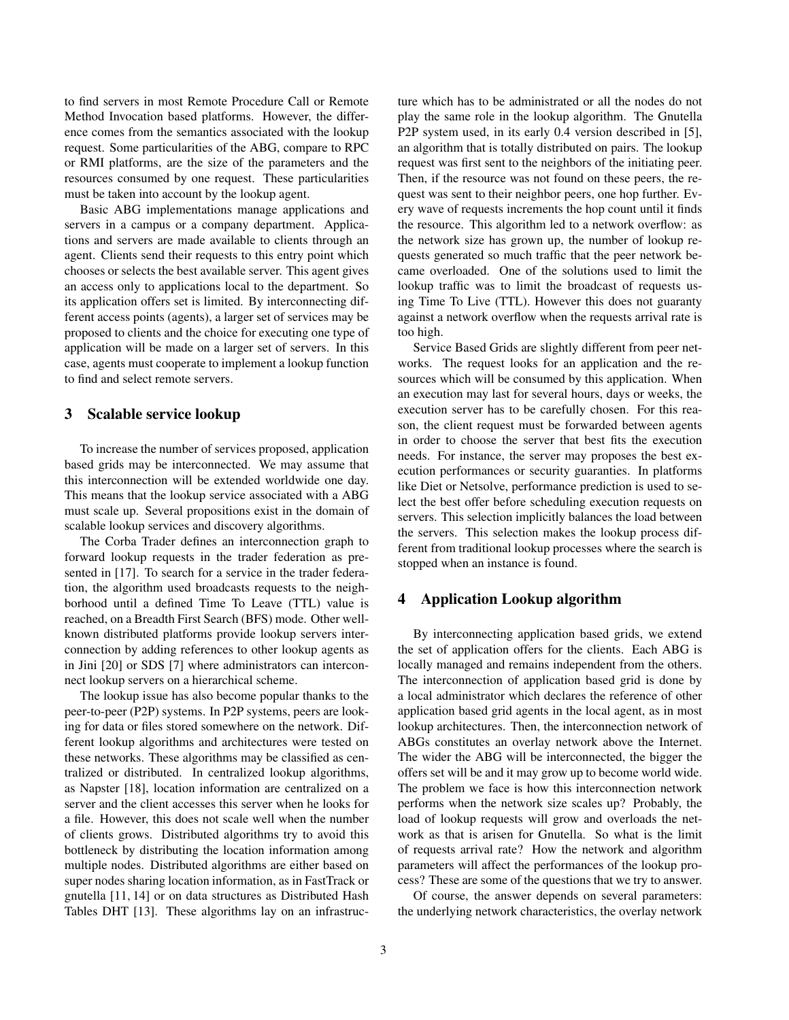to find servers in most Remote Procedure Call or Remote Method Invocation based platforms. However, the difference comes from the semantics associated with the lookup request. Some particularities of the ABG, compare to RPC or RMI platforms, are the size of the parameters and the resources consumed by one request. These particularities must be taken into account by the lookup agent.

Basic ABG implementations manage applications and servers in a campus or a company department. Applications and servers are made available to clients through an agent. Clients send their requests to this entry point which chooses or selects the best available server. This agent gives an access only to applications local to the department. So its application offers set is limited. By interconnecting different access points (agents), a larger set of services may be proposed to clients and the choice for executing one type of application will be made on a larger set of servers. In this case, agents must cooperate to implement a lookup function to find and select remote servers.

#### 3 Scalable service lookup

To increase the number of services proposed, application based grids may be interconnected. We may assume that this interconnection will be extended worldwide one day. This means that the lookup service associated with a ABG must scale up. Several propositions exist in the domain of scalable lookup services and discovery algorithms.

The Corba Trader defines an interconnection graph to forward lookup requests in the trader federation as presented in [17]. To search for a service in the trader federation, the algorithm used broadcasts requests to the neighborhood until a defined Time To Leave (TTL) value is reached, on a Breadth First Search (BFS) mode. Other wellknown distributed platforms provide lookup servers interconnection by adding references to other lookup agents as in Jini [20] or SDS [7] where administrators can interconnect lookup servers on a hierarchical scheme.

The lookup issue has also become popular thanks to the peer-to-peer (P2P) systems. In P2P systems, peers are looking for data or files stored somewhere on the network. Different lookup algorithms and architectures were tested on these networks. These algorithms may be classified as centralized or distributed. In centralized lookup algorithms, as Napster [18], location information are centralized on a server and the client accesses this server when he looks for a file. However, this does not scale well when the number of clients grows. Distributed algorithms try to avoid this bottleneck by distributing the location information among multiple nodes. Distributed algorithms are either based on super nodes sharing location information, as in FastTrack or gnutella [11, 14] or on data structures as Distributed Hash Tables DHT [13]. These algorithms lay on an infrastructure which has to be administrated or all the nodes do not play the same role in the lookup algorithm. The Gnutella P2P system used, in its early 0.4 version described in [5], an algorithm that is totally distributed on pairs. The lookup request was first sent to the neighbors of the initiating peer. Then, if the resource was not found on these peers, the request was sent to their neighbor peers, one hop further. Every wave of requests increments the hop count until it finds the resource. This algorithm led to a network overflow: as the network size has grown up, the number of lookup requests generated so much traffic that the peer network became overloaded. One of the solutions used to limit the lookup traffic was to limit the broadcast of requests using Time To Live (TTL). However this does not guaranty against a network overflow when the requests arrival rate is too high.

Service Based Grids are slightly different from peer networks. The request looks for an application and the resources which will be consumed by this application. When an execution may last for several hours, days or weeks, the execution server has to be carefully chosen. For this reason, the client request must be forwarded between agents in order to choose the server that best fits the execution needs. For instance, the server may proposes the best execution performances or security guaranties. In platforms like Diet or Netsolve, performance prediction is used to select the best offer before scheduling execution requests on servers. This selection implicitly balances the load between the servers. This selection makes the lookup process different from traditional lookup processes where the search is stopped when an instance is found.

# 4 Application Lookup algorithm

By interconnecting application based grids, we extend the set of application offers for the clients. Each ABG is locally managed and remains independent from the others. The interconnection of application based grid is done by a local administrator which declares the reference of other application based grid agents in the local agent, as in most lookup architectures. Then, the interconnection network of ABGs constitutes an overlay network above the Internet. The wider the ABG will be interconnected, the bigger the offers set will be and it may grow up to become world wide. The problem we face is how this interconnection network performs when the network size scales up? Probably, the load of lookup requests will grow and overloads the network as that is arisen for Gnutella. So what is the limit of requests arrival rate? How the network and algorithm parameters will affect the performances of the lookup process? These are some of the questions that we try to answer.

Of course, the answer depends on several parameters: the underlying network characteristics, the overlay network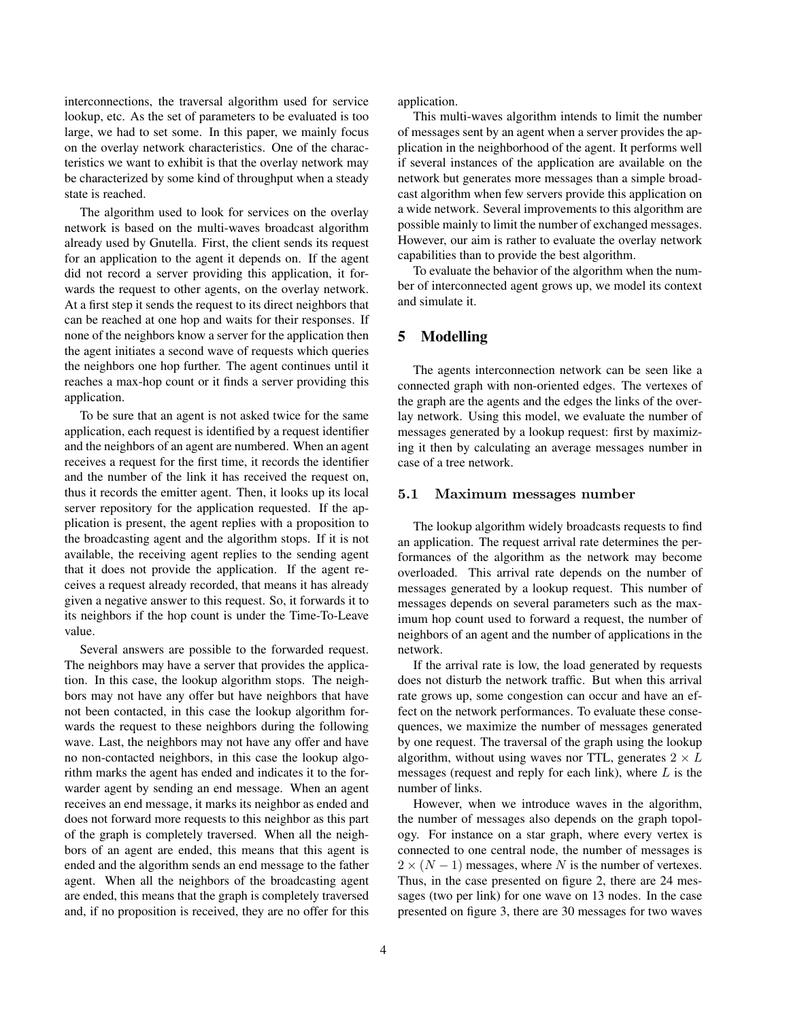interconnections, the traversal algorithm used for service lookup, etc. As the set of parameters to be evaluated is too large, we had to set some. In this paper, we mainly focus on the overlay network characteristics. One of the characteristics we want to exhibit is that the overlay network may be characterized by some kind of throughput when a steady state is reached.

The algorithm used to look for services on the overlay network is based on the multi-waves broadcast algorithm already used by Gnutella. First, the client sends its request for an application to the agent it depends on. If the agent did not record a server providing this application, it forwards the request to other agents, on the overlay network. At a first step it sends the request to its direct neighbors that can be reached at one hop and waits for their responses. If none of the neighbors know a server for the application then the agent initiates a second wave of requests which queries the neighbors one hop further. The agent continues until it reaches a max-hop count or it finds a server providing this application.

To be sure that an agent is not asked twice for the same application, each request is identified by a request identifier and the neighbors of an agent are numbered. When an agent receives a request for the first time, it records the identifier and the number of the link it has received the request on, thus it records the emitter agent. Then, it looks up its local server repository for the application requested. If the application is present, the agent replies with a proposition to the broadcasting agent and the algorithm stops. If it is not available, the receiving agent replies to the sending agent that it does not provide the application. If the agent receives a request already recorded, that means it has already given a negative answer to this request. So, it forwards it to its neighbors if the hop count is under the Time-To-Leave value.

Several answers are possible to the forwarded request. The neighbors may have a server that provides the application. In this case, the lookup algorithm stops. The neighbors may not have any offer but have neighbors that have not been contacted, in this case the lookup algorithm forwards the request to these neighbors during the following wave. Last, the neighbors may not have any offer and have no non-contacted neighbors, in this case the lookup algorithm marks the agent has ended and indicates it to the forwarder agent by sending an end message. When an agent receives an end message, it marks its neighbor as ended and does not forward more requests to this neighbor as this part of the graph is completely traversed. When all the neighbors of an agent are ended, this means that this agent is ended and the algorithm sends an end message to the father agent. When all the neighbors of the broadcasting agent are ended, this means that the graph is completely traversed and, if no proposition is received, they are no offer for this application.

This multi-waves algorithm intends to limit the number of messages sent by an agent when a server provides the application in the neighborhood of the agent. It performs well if several instances of the application are available on the network but generates more messages than a simple broadcast algorithm when few servers provide this application on a wide network. Several improvements to this algorithm are possible mainly to limit the number of exchanged messages. However, our aim is rather to evaluate the overlay network capabilities than to provide the best algorithm.

To evaluate the behavior of the algorithm when the number of interconnected agent grows up, we model its context and simulate it.

#### 5 Modelling

The agents interconnection network can be seen like a connected graph with non-oriented edges. The vertexes of the graph are the agents and the edges the links of the overlay network. Using this model, we evaluate the number of messages generated by a lookup request: first by maximizing it then by calculating an average messages number in case of a tree network.

#### 5.1 Maximum messages number

The lookup algorithm widely broadcasts requests to find an application. The request arrival rate determines the performances of the algorithm as the network may become overloaded. This arrival rate depends on the number of messages generated by a lookup request. This number of messages depends on several parameters such as the maximum hop count used to forward a request, the number of neighbors of an agent and the number of applications in the network.

If the arrival rate is low, the load generated by requests does not disturb the network traffic. But when this arrival rate grows up, some congestion can occur and have an effect on the network performances. To evaluate these consequences, we maximize the number of messages generated by one request. The traversal of the graph using the lookup algorithm, without using waves nor TTL, generates  $2 \times L$ messages (request and reply for each link), where  $L$  is the number of links.

However, when we introduce waves in the algorithm, the number of messages also depends on the graph topology. For instance on a star graph, where every vertex is connected to one central node, the number of messages is  $2 \times (N - 1)$  messages, where N is the number of vertexes. Thus, in the case presented on figure 2, there are 24 messages (two per link) for one wave on 13 nodes. In the case presented on figure 3, there are 30 messages for two waves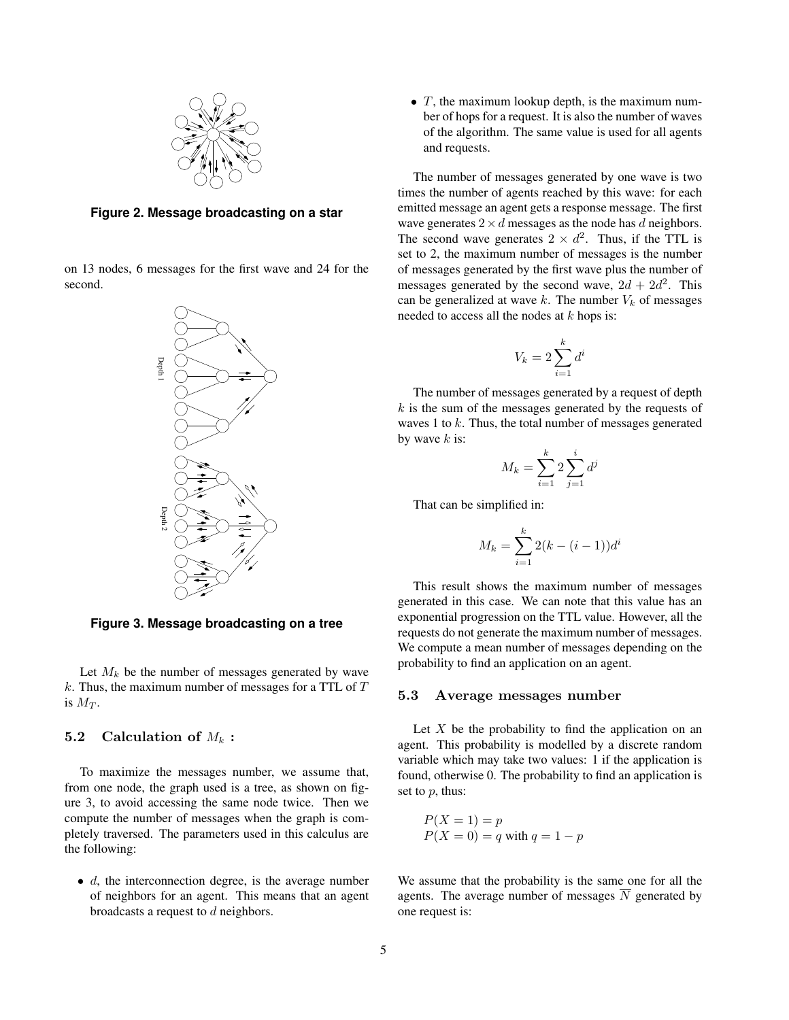

**Figure 2. Message broadcasting on a star**

on 13 nodes, 6 messages for the first wave and 24 for the second.



**Figure 3. Message broadcasting on a tree**

Let  $M_k$  be the number of messages generated by wave  $k$ . Thus, the maximum number of messages for a TTL of  $T$ is  $M_T$ .

# 5.2 Calculation of  $M_k$ :

To maximize the messages number, we assume that, from one node, the graph used is a tree, as shown on figure 3, to avoid accessing the same node twice. Then we compute the number of messages when the graph is completely traversed. The parameters used in this calculus are the following:

 $\bullet$  d, the interconnection degree, is the average number of neighbors for an agent. This means that an agent broadcasts a request to d neighbors.

•  $T$ , the maximum lookup depth, is the maximum number of hops for a request. It is also the number of waves of the algorithm. The same value is used for all agents and requests.

The number of messages generated by one wave is two times the number of agents reached by this wave: for each emitted message an agent gets a response message. The first wave generates  $2 \times d$  messages as the node has d neighbors. The second wave generates  $2 \times d^2$ . Thus, if the TTL is set to 2, the maximum number of messages is the number of messages generated by the first wave plus the number of messages generated by the second wave,  $2d + 2d^2$ . This can be generalized at wave  $k$ . The number  $V_k$  of messages needed to access all the nodes at  $k$  hops is:

$$
V_k = 2\sum_{i=1}^k d^i
$$

The number of messages generated by a request of depth  $k$  is the sum of the messages generated by the requests of waves 1 to  $k$ . Thus, the total number of messages generated by wave  $k$  is:

$$
M_k = \sum_{i=1}^k 2\sum_{j=1}^i d^j
$$

That can be simplified in:

$$
M_k = \sum_{i=1}^{k} 2(k - (i - 1))d^i
$$

This result shows the maximum number of messages generated in this case. We can note that this value has an exponential progression on the TTL value. However, all the requests do not generate the maximum number of messages. We compute a mean number of messages depending on the probability to find an application on an agent.

#### 5.3 Average messages number

Let  $X$  be the probability to find the application on an agent. This probability is modelled by a discrete random variable which may take two values: 1 if the application is found, otherwise 0. The probability to find an application is set to  $p$ , thus:

$$
P(X = 1) = p
$$
  

$$
P(X = 0) = q
$$
 with  $q = 1 - p$ 

We assume that the probability is the same one for all the agents. The average number of messages  $\overline{N}$  generated by one request is: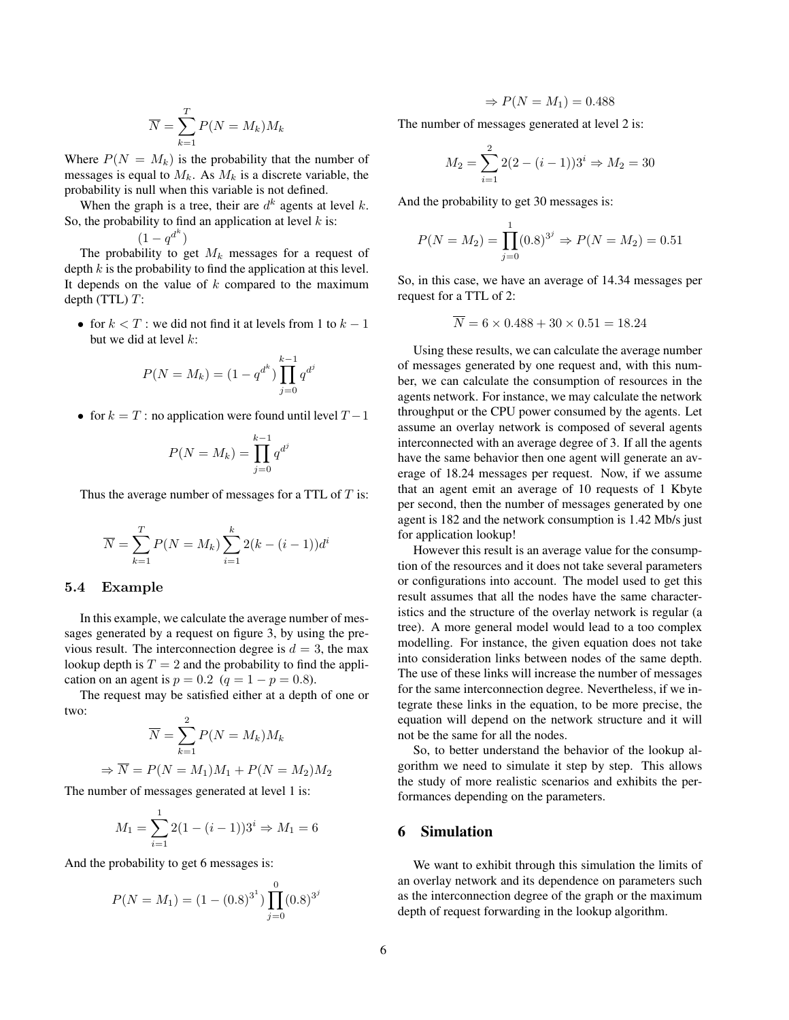$$
\overline{N} = \sum_{k=1}^{T} P(N = M_k) M_k
$$

Where  $P(N = M_k)$  is the probability that the number of messages is equal to  $M_k$ . As  $M_k$  is a discrete variable, the probability is null when this variable is not defined.

When the graph is a tree, their are  $d^k$  agents at level k. So, the probability to find an application at level  $k$  is:

$$
(1-q^{d^k})
$$

The probability to get  $M_k$  messages for a request of depth  $k$  is the probability to find the application at this level. It depends on the value of  $k$  compared to the maximum depth (TTL)  $T$ :

• for  $k < T$ : we did not find it at levels from 1 to  $k - 1$ but we did at level  $k$ :

$$
P(N = M_k) = (1 - q^{d^k}) \prod_{j=0}^{k-1} q^{d^j}
$$

• for  $k = T$ : no application were found until level  $T - 1$ 

$$
P(N = M_k) = \prod_{j=0}^{k-1} q^{d^j}
$$

Thus the average number of messages for a TTL of  $T$  is:

$$
\overline{N} = \sum_{k=1}^{T} P(N = M_k) \sum_{i=1}^{k} 2(k - (i-1))d^i
$$

#### 5.4 Example

In this example, we calculate the average number of messages generated by a request on figure 3, by using the previous result. The interconnection degree is  $d = 3$ , the max lookup depth is  $T = 2$  and the probability to find the application on an agent is  $p = 0.2$  ( $q = 1 - p = 0.8$ ).

The request may be satisfied either at a depth of one or two:

$$
\overline{N} = \sum_{k=1}^{2} P(N = M_k) M_k
$$

$$
\Rightarrow \overline{N} = P(N = M_1) M_1 + P(N = M_2) M_2
$$

The number of messages generated at level 1 is:

$$
M_1 = \sum_{i=1}^{1} 2(1 - (i - 1))3^i \Rightarrow M_1 = 6
$$

And the probability to get 6 messages is:

$$
P(N = M_1) = (1 - (0.8)^{3^1}) \prod_{j=0}^{0} (0.8)^{3^j}
$$

$$
\Rightarrow P(N = M_1) = 0.488
$$

The number of messages generated at level 2 is:

$$
M_2 = \sum_{i=1}^{2} 2(2 - (i - 1))3^i \Rightarrow M_2 = 30
$$

And the probability to get 30 messages is:

$$
P(N = M_2) = \prod_{j=0}^{1} (0.8)^{3^j} \Rightarrow P(N = M_2) = 0.51
$$

So, in this case, we have an average of 14.34 messages per request for a TTL of 2:

$$
\overline{N} = 6 \times 0.488 + 30 \times 0.51 = 18.24
$$

Using these results, we can calculate the average number of messages generated by one request and, with this number, we can calculate the consumption of resources in the agents network. For instance, we may calculate the network throughput or the CPU power consumed by the agents. Let assume an overlay network is composed of several agents interconnected with an average degree of 3. If all the agents have the same behavior then one agent will generate an average of 18.24 messages per request. Now, if we assume that an agent emit an average of 10 requests of 1 Kbyte per second, then the number of messages generated by one agent is 182 and the network consumption is 1.42 Mb/s just for application lookup!

However this result is an average value for the consumption of the resources and it does not take several parameters or configurations into account. The model used to get this result assumes that all the nodes have the same characteristics and the structure of the overlay network is regular (a tree). A more general model would lead to a too complex modelling. For instance, the given equation does not take into consideration links between nodes of the same depth. The use of these links will increase the number of messages for the same interconnection degree. Nevertheless, if we integrate these links in the equation, to be more precise, the equation will depend on the network structure and it will not be the same for all the nodes.

So, to better understand the behavior of the lookup algorithm we need to simulate it step by step. This allows the study of more realistic scenarios and exhibits the performances depending on the parameters.

# 6 Simulation

We want to exhibit through this simulation the limits of an overlay network and its dependence on parameters such as the interconnection degree of the graph or the maximum depth of request forwarding in the lookup algorithm.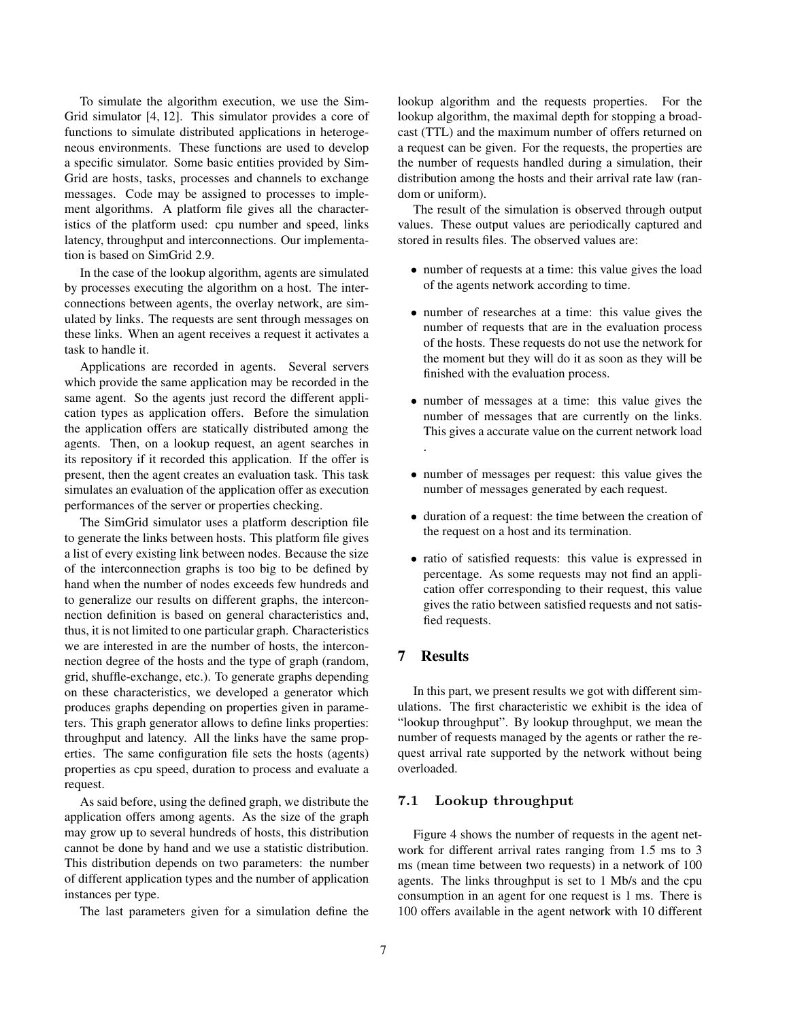To simulate the algorithm execution, we use the Sim-Grid simulator [4, 12]. This simulator provides a core of functions to simulate distributed applications in heterogeneous environments. These functions are used to develop a specific simulator. Some basic entities provided by Sim-Grid are hosts, tasks, processes and channels to exchange messages. Code may be assigned to processes to implement algorithms. A platform file gives all the characteristics of the platform used: cpu number and speed, links latency, throughput and interconnections. Our implementation is based on SimGrid 2.9.

In the case of the lookup algorithm, agents are simulated by processes executing the algorithm on a host. The interconnections between agents, the overlay network, are simulated by links. The requests are sent through messages on these links. When an agent receives a request it activates a task to handle it.

Applications are recorded in agents. Several servers which provide the same application may be recorded in the same agent. So the agents just record the different application types as application offers. Before the simulation the application offers are statically distributed among the agents. Then, on a lookup request, an agent searches in its repository if it recorded this application. If the offer is present, then the agent creates an evaluation task. This task simulates an evaluation of the application offer as execution performances of the server or properties checking.

The SimGrid simulator uses a platform description file to generate the links between hosts. This platform file gives a list of every existing link between nodes. Because the size of the interconnection graphs is too big to be defined by hand when the number of nodes exceeds few hundreds and to generalize our results on different graphs, the interconnection definition is based on general characteristics and, thus, it is not limited to one particular graph. Characteristics we are interested in are the number of hosts, the interconnection degree of the hosts and the type of graph (random, grid, shuffle-exchange, etc.). To generate graphs depending on these characteristics, we developed a generator which produces graphs depending on properties given in parameters. This graph generator allows to define links properties: throughput and latency. All the links have the same properties. The same configuration file sets the hosts (agents) properties as cpu speed, duration to process and evaluate a request.

As said before, using the defined graph, we distribute the application offers among agents. As the size of the graph may grow up to several hundreds of hosts, this distribution cannot be done by hand and we use a statistic distribution. This distribution depends on two parameters: the number of different application types and the number of application instances per type.

The last parameters given for a simulation define the

lookup algorithm and the requests properties. For the lookup algorithm, the maximal depth for stopping a broadcast (TTL) and the maximum number of offers returned on a request can be given. For the requests, the properties are the number of requests handled during a simulation, their distribution among the hosts and their arrival rate law (random or uniform).

The result of the simulation is observed through output values. These output values are periodically captured and stored in results files. The observed values are:

- number of requests at a time: this value gives the load of the agents network according to time.
- number of researches at a time: this value gives the number of requests that are in the evaluation process of the hosts. These requests do not use the network for the moment but they will do it as soon as they will be finished with the evaluation process.
- number of messages at a time: this value gives the number of messages that are currently on the links. This gives a accurate value on the current network load .
- number of messages per request: this value gives the number of messages generated by each request.
- duration of a request: the time between the creation of the request on a host and its termination.
- ratio of satisfied requests: this value is expressed in percentage. As some requests may not find an application offer corresponding to their request, this value gives the ratio between satisfied requests and not satisfied requests.

#### 7 Results

In this part, we present results we got with different simulations. The first characteristic we exhibit is the idea of "lookup throughput". By lookup throughput, we mean the number of requests managed by the agents or rather the request arrival rate supported by the network without being overloaded.

# 7.1 Lookup throughput

Figure 4 shows the number of requests in the agent network for different arrival rates ranging from 1.5 ms to 3 ms (mean time between two requests) in a network of 100 agents. The links throughput is set to 1 Mb/s and the cpu consumption in an agent for one request is 1 ms. There is 100 offers available in the agent network with 10 different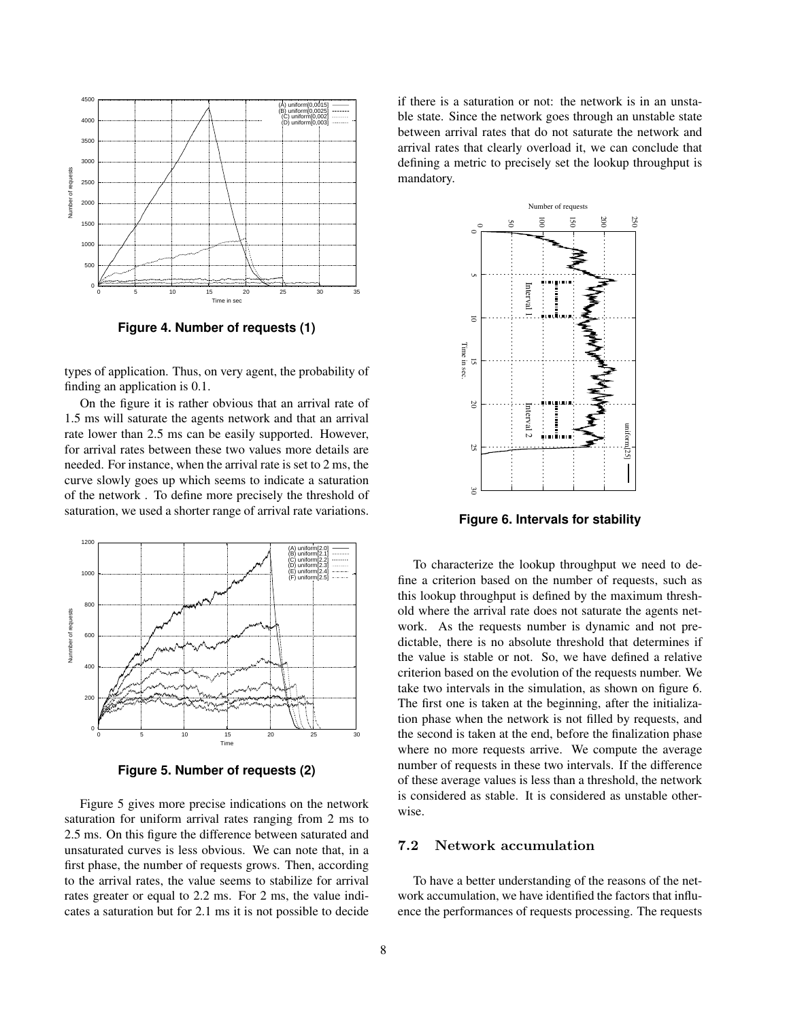

**Figure 4. Number of requests (1)**

types of application. Thus, on very agent, the probability of finding an application is 0.1.

On the figure it is rather obvious that an arrival rate of 1.5 ms will saturate the agents network and that an arrival rate lower than 2.5 ms can be easily supported. However, for arrival rates between these two values more details are needed. For instance, when the arrival rate is set to 2 ms, the curve slowly goes up which seems to indicate a saturation of the network . To define more precisely the threshold of saturation, we used a shorter range of arrival rate variations.



**Figure 5. Number of requests (2)**

Figure 5 gives more precise indications on the network saturation for uniform arrival rates ranging from 2 ms to 2.5 ms. On this figure the difference between saturated and unsaturated curves is less obvious. We can note that, in a first phase, the number of requests grows. Then, according to the arrival rates, the value seems to stabilize for arrival rates greater or equal to 2.2 ms. For 2 ms, the value indicates a saturation but for 2.1 ms it is not possible to decide if there is a saturation or not: the network is in an unstable state. Since the network goes through an unstable state between arrival rates that do not saturate the network and arrival rates that clearly overload it, we can conclude that defining a metric to precisely set the lookup throughput is mandatory.



**Figure 6. Intervals for stability**

To characterize the lookup throughput we need to define a criterion based on the number of requests, such as this lookup throughput is defined by the maximum threshold where the arrival rate does not saturate the agents network. As the requests number is dynamic and not predictable, there is no absolute threshold that determines if the value is stable or not. So, we have defined a relative criterion based on the evolution of the requests number. We take two intervals in the simulation, as shown on figure 6. The first one is taken at the beginning, after the initialization phase when the network is not filled by requests, and the second is taken at the end, before the finalization phase where no more requests arrive. We compute the average number of requests in these two intervals. If the difference of these average values is less than a threshold, the network is considered as stable. It is considered as unstable otherwise.

# 7.2 Network accumulation

To have a better understanding of the reasons of the network accumulation, we have identified the factors that influence the performances of requests processing. The requests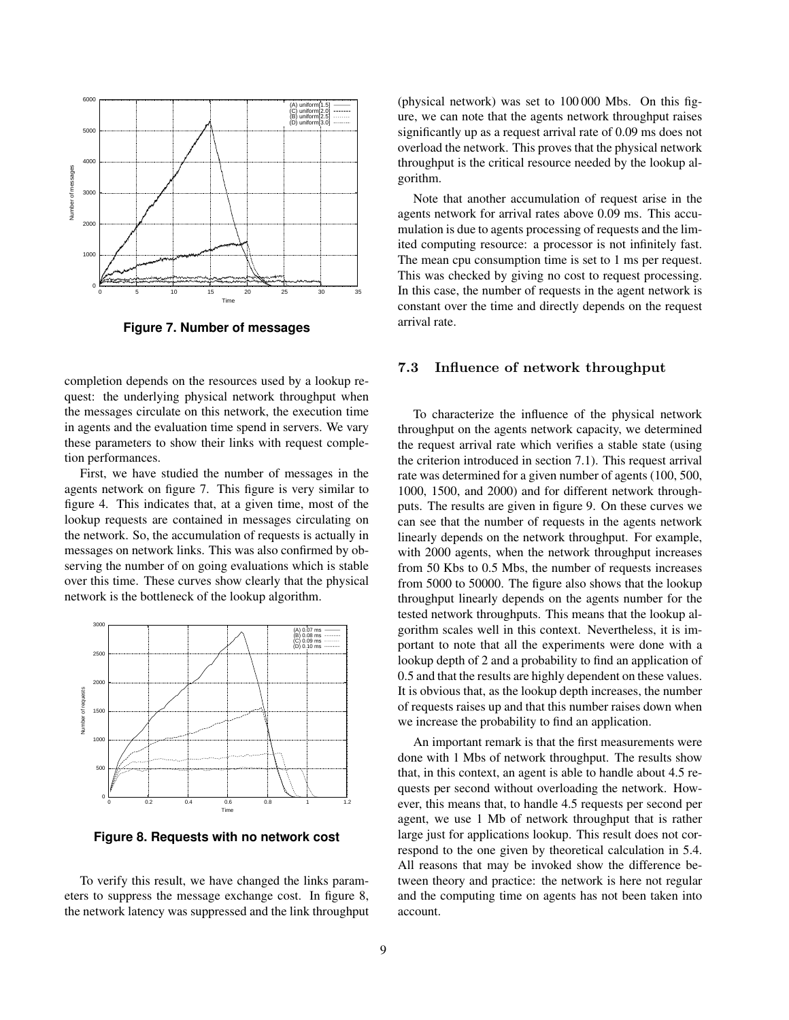

**Figure 7. Number of messages**

completion depends on the resources used by a lookup request: the underlying physical network throughput when the messages circulate on this network, the execution time in agents and the evaluation time spend in servers. We vary these parameters to show their links with request completion performances.

First, we have studied the number of messages in the agents network on figure 7. This figure is very similar to figure 4. This indicates that, at a given time, most of the lookup requests are contained in messages circulating on the network. So, the accumulation of requests is actually in messages on network links. This was also confirmed by observing the number of on going evaluations which is stable over this time. These curves show clearly that the physical network is the bottleneck of the lookup algorithm.



**Figure 8. Requests with no network cost**

To verify this result, we have changed the links parameters to suppress the message exchange cost. In figure 8, the network latency was suppressed and the link throughput

(physical network) was set to 100 000 Mbs. On this figure, we can note that the agents network throughput raises significantly up as a request arrival rate of 0.09 ms does not overload the network. This proves that the physical network throughput is the critical resource needed by the lookup algorithm.

Note that another accumulation of request arise in the agents network for arrival rates above 0.09 ms. This accumulation is due to agents processing of requests and the limited computing resource: a processor is not infinitely fast. The mean cpu consumption time is set to 1 ms per request. This was checked by giving no cost to request processing. In this case, the number of requests in the agent network is constant over the time and directly depends on the request arrival rate.

#### 7.3 Influence of network throughput

To characterize the influence of the physical network throughput on the agents network capacity, we determined the request arrival rate which verifies a stable state (using the criterion introduced in section 7.1). This request arrival rate was determined for a given number of agents (100, 500, 1000, 1500, and 2000) and for different network throughputs. The results are given in figure 9. On these curves we can see that the number of requests in the agents network linearly depends on the network throughput. For example, with 2000 agents, when the network throughput increases from 50 Kbs to 0.5 Mbs, the number of requests increases from 5000 to 50000. The figure also shows that the lookup throughput linearly depends on the agents number for the tested network throughputs. This means that the lookup algorithm scales well in this context. Nevertheless, it is important to note that all the experiments were done with a lookup depth of 2 and a probability to find an application of 0.5 and that the results are highly dependent on these values. It is obvious that, as the lookup depth increases, the number of requests raises up and that this number raises down when we increase the probability to find an application.

An important remark is that the first measurements were done with 1 Mbs of network throughput. The results show that, in this context, an agent is able to handle about 4.5 requests per second without overloading the network. However, this means that, to handle 4.5 requests per second per agent, we use 1 Mb of network throughput that is rather large just for applications lookup. This result does not correspond to the one given by theoretical calculation in 5.4. All reasons that may be invoked show the difference between theory and practice: the network is here not regular and the computing time on agents has not been taken into account.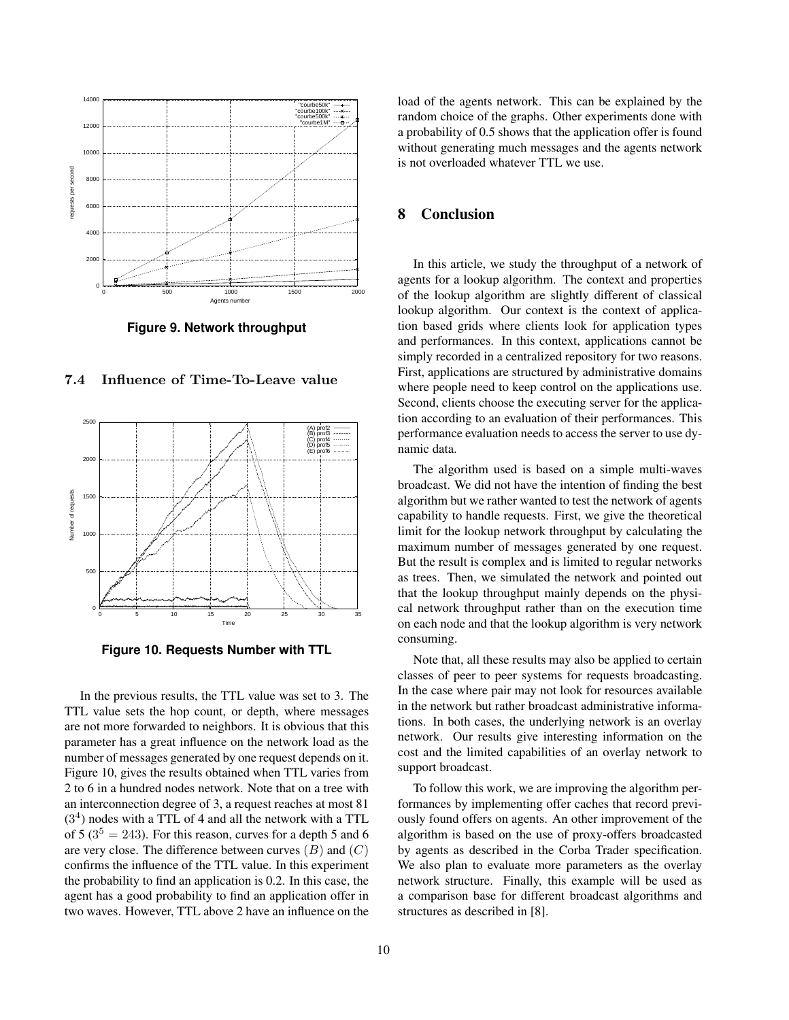

**Figure 9. Network throughput**

7.4 Influence of Time-To-Leave value



**Figure 10. Requests Number with TTL**

In the previous results, the TTL value was set to 3. The TTL value sets the hop count, or depth, where messages are not more forwarded to neighbors. It is obvious that this parameter has a great influence on the network load as the number of messages generated by one request depends on it. Figure 10, gives the results obtained when TTL varies from 2 to 6 in a hundred nodes network. Note that on a tree with an interconnection degree of 3, a request reaches at most 81  $(3<sup>4</sup>)$  nodes with a TTL of 4 and all the network with a TTL of  $5(3^5 = 243)$ . For this reason, curves for a depth 5 and 6 are very close. The difference between curves  $(B)$  and  $(C)$ confirms the influence of the TTL value. In this experiment the probability to find an application is 0.2. In this case, the agent has a good probability to find an application offer in two waves. However, TTL above 2 have an influence on the load of the agents network. This can be explained by the random choice of the graphs. Other experiments done with a probability of 0.5 shows that the application offer is found without generating much messages and the agents network is not overloaded whatever TTL we use.

# 8 Conclusion

In this article, we study the throughput of a network of agents for a lookup algorithm. The context and properties of the lookup algorithm are slightly different of classical lookup algorithm. Our context is the context of application based grids where clients look for application types and performances. In this context, applications cannot be simply recorded in a centralized repository for two reasons. First, applications are structured by administrative domains where people need to keep control on the applications use. Second, clients choose the executing server for the application according to an evaluation of their performances. This performance evaluation needs to access the server to use dynamic data.

The algorithm used is based on a simple multi-waves broadcast. We did not have the intention of finding the best algorithm but we rather wanted to test the network of agents capability to handle requests. First, we give the theoretical limit for the lookup network throughput by calculating the maximum number of messages generated by one request. But the result is complex and is limited to regular networks as trees. Then, we simulated the network and pointed out that the lookup throughput mainly depends on the physical network throughput rather than on the execution time on each node and that the lookup algorithm is very network consuming.

Note that, all these results may also be applied to certain classes of peer to peer systems for requests broadcasting. In the case where pair may not look for resources available in the network but rather broadcast administrative informations. In both cases, the underlying network is an overlay network. Our results give interesting information on the cost and the limited capabilities of an overlay network to support broadcast.

To follow this work, we are improving the algorithm performances by implementing offer caches that record previously found offers on agents. An other improvement of the algorithm is based on the use of proxy-offers broadcasted by agents as described in the Corba Trader specification. We also plan to evaluate more parameters as the overlay network structure. Finally, this example will be used as a comparison base for different broadcast algorithms and structures as described in [8].